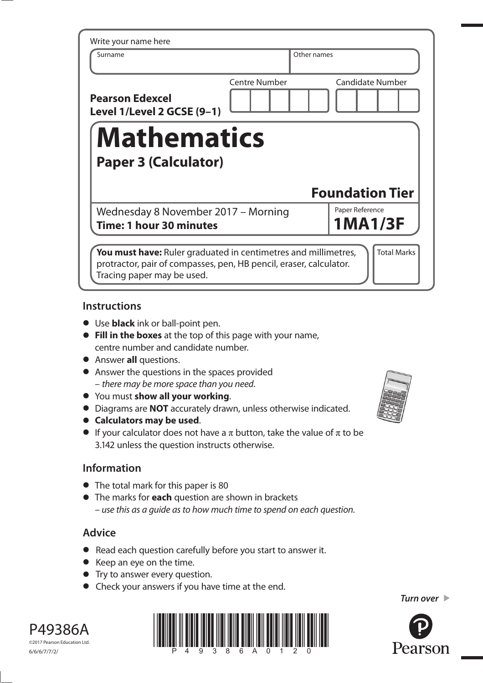| Write your name here                                                                                                                        |                      |                                   |  |  |  |
|---------------------------------------------------------------------------------------------------------------------------------------------|----------------------|-----------------------------------|--|--|--|
| Surname                                                                                                                                     |                      | Other names                       |  |  |  |
| <b>Pearson Edexcel</b><br>Level 1/Level 2 GCSE (9-1)                                                                                        | <b>Centre Number</b> | <b>Candidate Number</b>           |  |  |  |
| <b>Mathematics</b><br><b>Paper 3 (Calculator)</b>                                                                                           |                      |                                   |  |  |  |
|                                                                                                                                             |                      | <b>Foundation Tier</b>            |  |  |  |
| Wednesday 8 November 2017 - Morning<br>Time: 1 hour 30 minutes                                                                              |                      | Paper Reference<br><b>1MA1/3F</b> |  |  |  |
| <b>You must have:</b> Ruler graduated in centimetres and millimetres,<br>protractor, pair of compasses, pen, HB pencil, eraser, calculator. |                      | <b>Total Marks</b>                |  |  |  |

## **Instructions**

- **•** Use **black** ink or ball-point pen.
- **• Fill in the boxes** at the top of this page with your name, centre number and candidate number.
- **•** Answer **all** questions.
- **•** Answer the questions in the spaces provided – there may be more space than you need.
- **•** You must **show all your working**.
- **•** You must **show all your working**.<br>• Diagrams are **NOT** accurately drawn, unless otherwise indicated.
- **•** Diagrams are **NOT** accurate<br> **Calculators may be used.**
- **Calculators may be used**.<br>• If your calculator does not have a  $\pi$  button, take the value of  $\pi$  to be 3.142 unless the question instructs otherwise.

# **Information**

- **•** The total mark for this paper is 80
- **•** The marks for **each** question are shown in brackets – use this as a guide as to how much time to spend on each question.

# **Advice**

- **•** Read each question carefully before you start to answer it.
- **•** Keep an eye on the time.
- **•** Try to answer every question.
- **•** Check your answers if you have time at the end.



Pearson

*Turn over* 



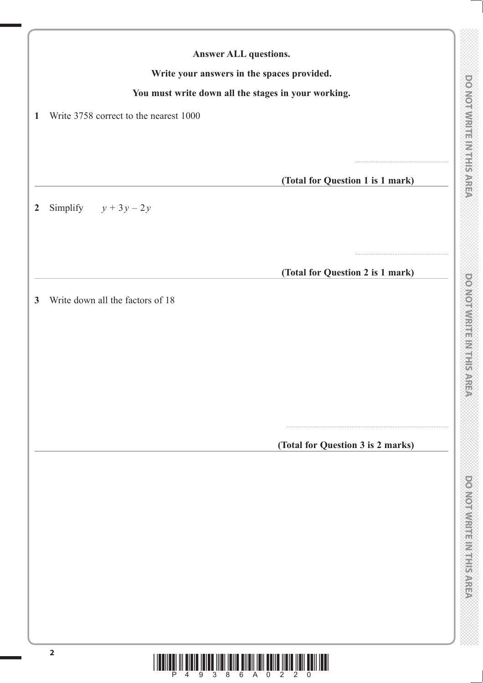**DONOTWRITE MTHIS AREA** 

|                  | You must write down all the stages in your working. |                                              |
|------------------|-----------------------------------------------------|----------------------------------------------|
| $\mathbf{1}$     | Write 3758 correct to the nearest 1000              |                                              |
|                  |                                                     |                                              |
|                  |                                                     | (Total for Question 1 is 1 mark)             |
| $\boldsymbol{2}$ | Simplify $y + 3y - 2y$                              |                                              |
|                  |                                                     |                                              |
|                  |                                                     | (Total for Question 2 is 1 mark)             |
| $\mathbf{3}$     | Write down all the factors of 18                    |                                              |
|                  |                                                     |                                              |
|                  |                                                     |                                              |
|                  |                                                     |                                              |
|                  |                                                     |                                              |
|                  |                                                     | (Total for Question 3 is 2 marks)            |
|                  |                                                     |                                              |
|                  |                                                     |                                              |
|                  |                                                     |                                              |
|                  |                                                     |                                              |
|                  |                                                     |                                              |
|                  |                                                     |                                              |
|                  | $\overline{\mathbf{2}}$<br>6<br>3<br>8<br>A<br>9    | $\overline{0}$<br>$\mathbf{2}^{\prime}$<br>2 |

**Answer ALL questions.**

**Write your answers in the spaces provided.**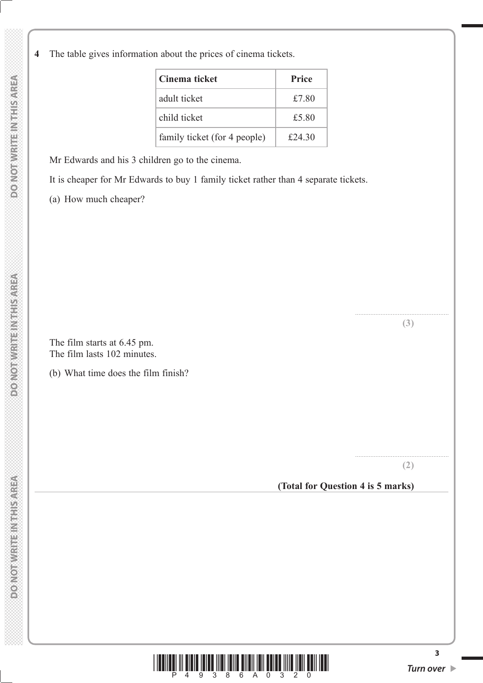**4** The table gives information about the prices of cinema tickets.

| Cinema ticket                | <b>Price</b> |
|------------------------------|--------------|
| adult ticket                 | £7.80        |
| child ticket                 | £5.80        |
| family ticket (for 4 people) | £24.30       |

Mr Edwards and his 3 children go to the cinema.

It is cheaper for Mr Edwards to buy 1 family ticket rather than 4 separate tickets.

(a) How much cheaper?

 The film starts at 6.45 pm. The film lasts 102 minutes.

(b) What time does the film finish?

....................................................... **(2)**

....................................................... **(3)**

## **(Total for Question 4 is 5 marks)**



**3**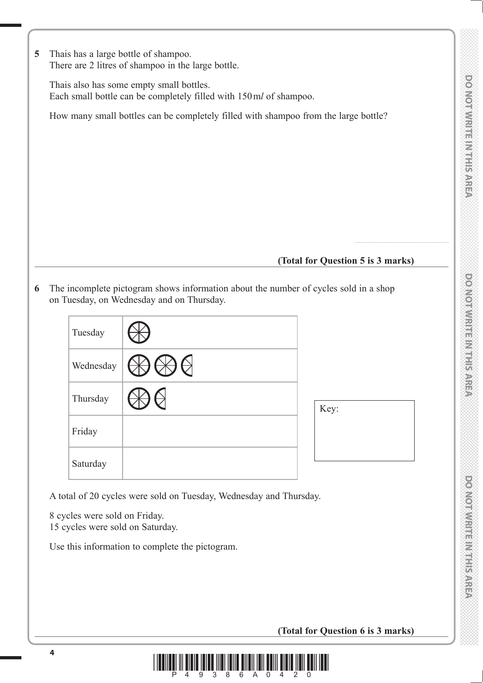**DOMOTIVIRIE IN HEIS AREA** 

**5** Thais has a large bottle of shampoo. There are 2 litres of shampoo in the large bottle.

 Thais also has some empty small bottles. Each small bottle can be completely filled with 150 m*l* of shampoo.

How many small bottles can be completely filled with shampoo from the large bottle?

## **(Total for Question 5 is 3 marks)**

.......................................................

**6** The incomplete pictogram shows information about the number of cycles sold in a shop on Tuesday, on Wednesday and on Thursday.

| Tuesday   |          |      |
|-----------|----------|------|
| Wednesday | $\Theta$ |      |
| Thursday  |          | Key: |
| Friday    |          |      |
| Saturday  |          |      |

A total of 20 cycles were sold on Tuesday, Wednesday and Thursday.

 8 cycles were sold on Friday. 15 cycles were sold on Saturday.

Use this information to complete the pictogram.

## **(Total for Question 6 is 3 marks)**

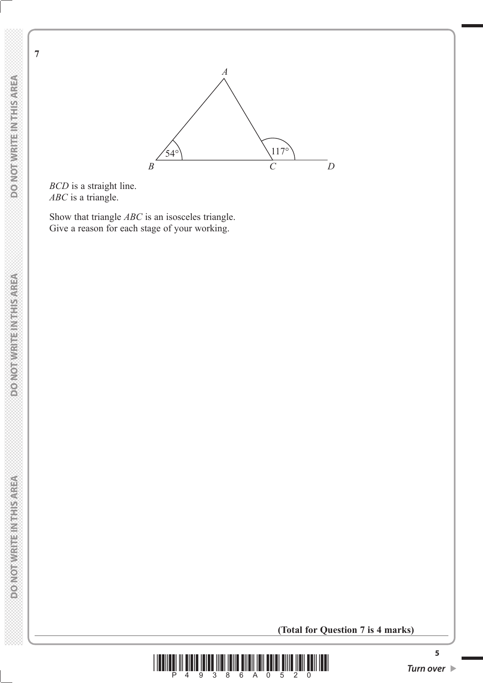**DO NOT WRITE IN THIS AREA** 

**7**

 **DO NOT WRITE IN THIS AREA DO NOT WRITE A DO NOT WRITE IN THIS AREA DO NOT WRITE A DOMOTWRITE INTHISAREA** 



*BCD* is a straight line. *ABC* is a triangle.

 Show that triangle *ABC* is an isosceles triangle. Give a reason for each stage of your working.

**(Total for Question 7 is 4 marks)**



**5**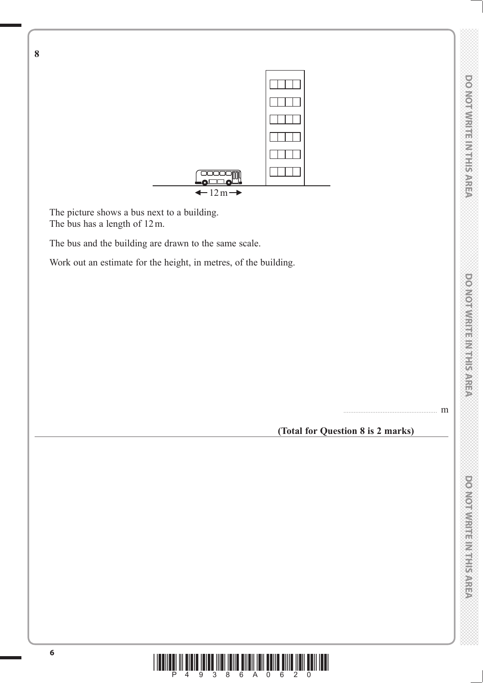....................................................... m



 The picture shows a bus next to a building. The bus has a length of 12 m.

**8**

The bus and the building are drawn to the same scale.

Work out an estimate for the height, in metres, of the building.

**(Total for Question 8 is 2 marks)**

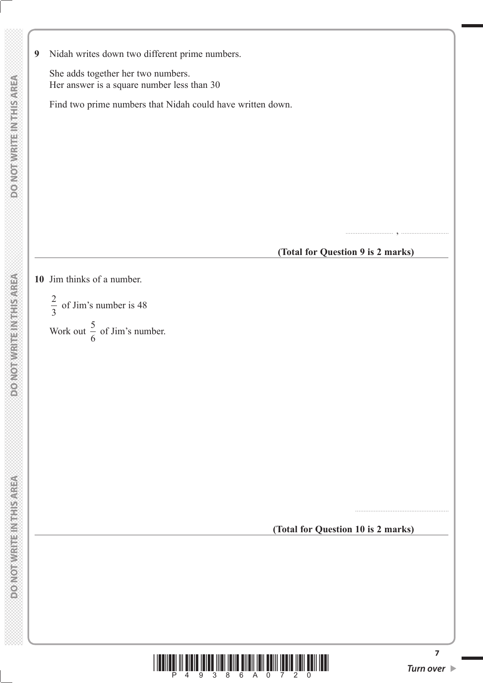**9** Nidah writes down two different prime numbers.

 She adds together her two numbers. Her answer is a square number less than 30

Find two prime numbers that Nidah could have written down.

............................ , ............................

#### **(Total for Question 9 is 2 marks)**

#### **10** Jim thinks of a number.

2 3 of Jim's number is 48 Work out  $\frac{5}{6}$ 6 of Jim's number.

**(Total for Question 10 is 2 marks)**



.......................................................

**7**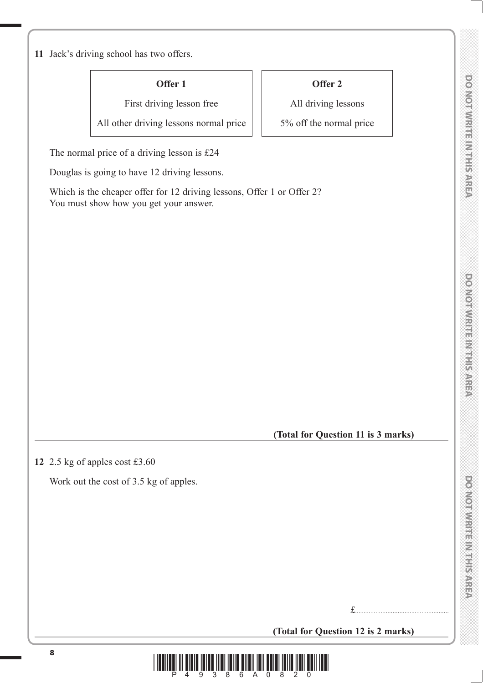**11** Jack's driving school has two offers.

**Offer 1**

First driving lesson free

All other driving lessons normal price

The normal price of a driving lesson is £24

Douglas is going to have 12 driving lessons.

 Which is the cheaper offer for 12 driving lessons, Offer 1 or Offer 2? You must show how you get your answer.

# **Offer 2**

All driving lessons

5% off the normal price

**(Total for Question 11 is 3 marks)**

**12** 2.5 kg of apples cost £3.60

Work out the cost of 3.5 kg of apples.

£.......................................................

 $\frac{1}{2}$  . The stars  $\frac{1}{4}$  and  $\frac{2}{3}$  and  $\frac{2}{3}$  and  $\frac{2}{3}$  and  $\frac{2}{3}$  and  $\frac{2}{3}$  and  $\frac{2}{3}$ 

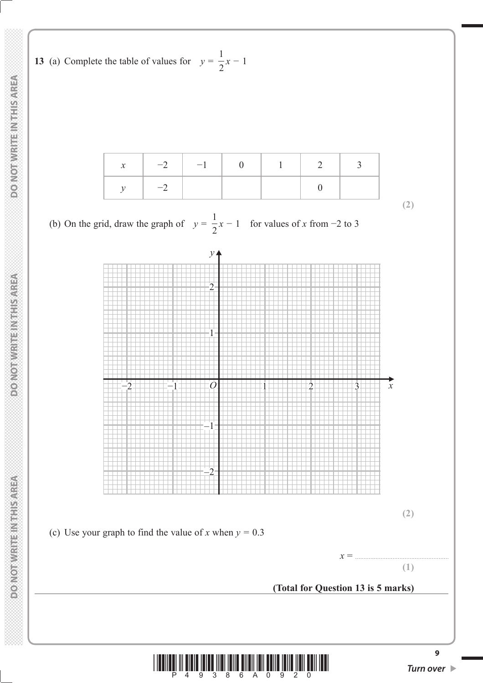**13** (a) Complete the table of values for  $y =$ 1  $\frac{1}{2}x-1$ 

| $-2$ | $-1$ $-1$ |  |  |
|------|-----------|--|--|
| $-2$ |           |  |  |

(b) On the grid, draw the graph of  $y =$ 1  $\frac{1}{2}x - 1$  for values of x from -2 to 3





**(2)**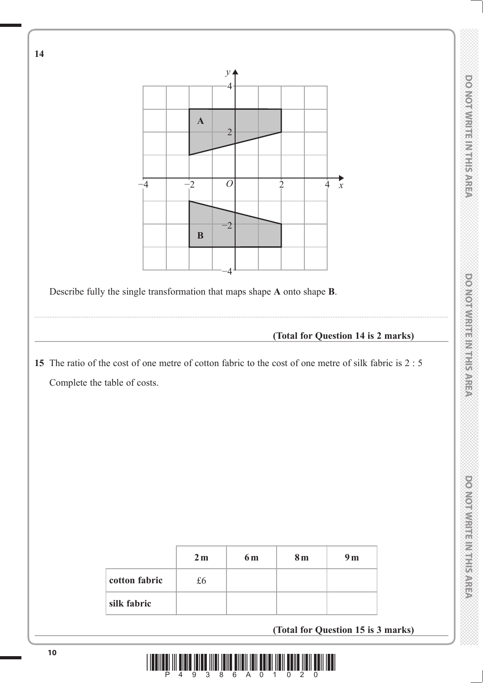

**<sup>10</sup>** \*P49386A01020\*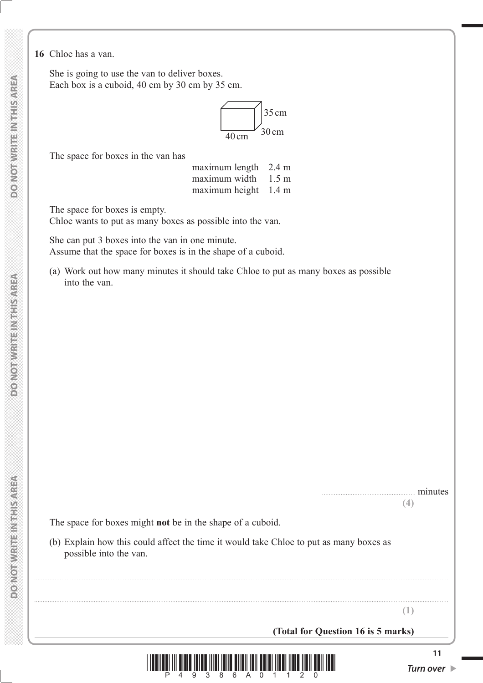**16** Chloe has a van.

 She is going to use the van to deliver boxes. Each box is a cuboid, 40 cm by 30 cm by 35 cm.



The space for boxes in the van has

maximum length 2.4 m maximum width 1.5 m maximum height 1.4 m

The space for boxes is empty.

Chloe wants to put as many boxes as possible into the van.

 She can put 3 boxes into the van in one minute. Assume that the space for boxes is in the shape of a cuboid.

 (a) Work out how many minutes it should take Chloe to put as many boxes as possible into the van.

> ....................................................... minutes **(4)**

The space for boxes might **not** be in the shape of a cuboid.

 (b) Explain how this could affect the time it would take Chloe to put as many boxes as possible into the van.

**(1)**

 **(Total for Question 16 is 5 marks)**



...................................................................................................................................................................................................................................................

...................................................................................................................................................................................................................................................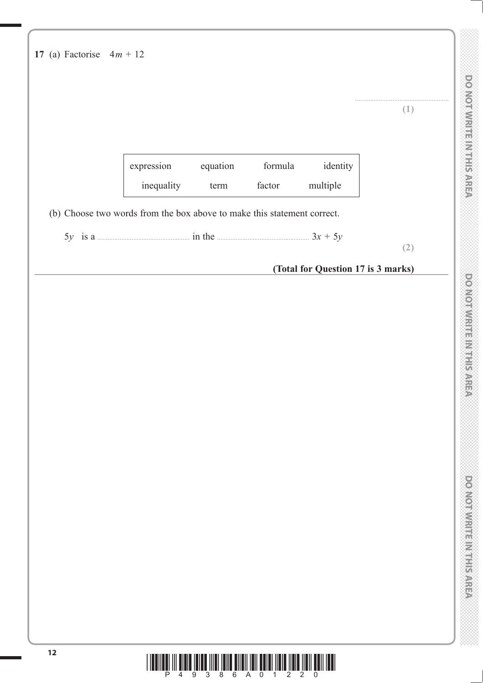|                                                                         |                                                      |          |         |                                    | (1) |
|-------------------------------------------------------------------------|------------------------------------------------------|----------|---------|------------------------------------|-----|
|                                                                         |                                                      |          |         |                                    |     |
|                                                                         | expression                                           | equation | formula | identity                           |     |
|                                                                         | inequality                                           | term     | factor  | multiple                           |     |
| (b) Choose two words from the box above to make this statement correct. |                                                      |          |         |                                    |     |
|                                                                         | 5y is a $\frac{3x + 5y}{ }$ is a $\frac{3x + 5y}{ }$ |          |         |                                    | (2) |
|                                                                         |                                                      |          |         | (Total for Question 17 is 3 marks) |     |
|                                                                         |                                                      |          |         |                                    |     |
|                                                                         |                                                      |          |         |                                    |     |
|                                                                         |                                                      |          |         |                                    |     |
|                                                                         |                                                      |          |         |                                    |     |
|                                                                         |                                                      |          |         |                                    |     |
|                                                                         |                                                      |          |         |                                    |     |
|                                                                         |                                                      |          |         |                                    |     |
|                                                                         |                                                      |          |         |                                    |     |
|                                                                         |                                                      |          |         |                                    |     |
|                                                                         |                                                      |          |         |                                    |     |
|                                                                         |                                                      |          |         |                                    |     |
|                                                                         |                                                      |          |         |                                    |     |
|                                                                         |                                                      |          |         |                                    |     |
|                                                                         |                                                      |          |         |                                    |     |
|                                                                         |                                                      |          |         |                                    |     |
|                                                                         |                                                      |          |         |                                    |     |
|                                                                         |                                                      |          |         |                                    |     |
|                                                                         |                                                      |          |         |                                    |     |

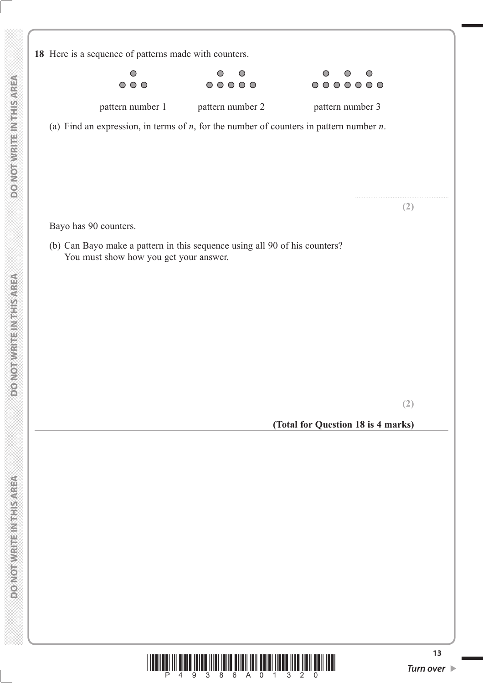**18** Here is a sequence of patterns made with counters.  $\overline{O}$  $\bigcirc$  $\circ$  $\circ$  $\bigcirc$  $\bigcirc$  $O$   $O$   $O$  $00000$  $0000000$ pattern number 1 pattern number 2 pattern number 3 (a) Find an expression, in terms of *n*, for the number of counters in pattern number *n*. ....................................................... **(2)** Bayo has 90 counters. (b) Can Bayo make a pattern in this sequence using all 90 of his counters? You must show how you get your answer. **(2) (Total for Question 18 is 4 marks)** $\frac{1}{2}$   $\frac{1}{2}$   $\frac{1}{2}$   $\frac{1}{2}$   $\frac{1}{2}$   $\frac{1}{2}$   $\frac{1}{2}$   $\frac{1}{2}$   $\frac{1}{2}$   $\frac{1}{2}$   $\frac{1}{2}$   $\frac{1}{2}$   $\frac{1}{2}$   $\frac{1}{2}$   $\frac{1}{2}$   $\frac{1}{2}$   $\frac{1}{2}$   $\frac{1}{2}$   $\frac{1}{2}$   $\frac{1}{2}$   $\frac{1}{2}$   $\frac{1}{2}$ 

 **DO NOT WRITE IN THIS AREA DO NOT WRITE A DO NOT WRITE IN THIS AREA DO NOT WRITE A** 

**DOMOTWRITEINTHIS AREA** 

**DOMORWIGHT NETHERAREA** 

**DO NOT WRITE INTHIS AREA**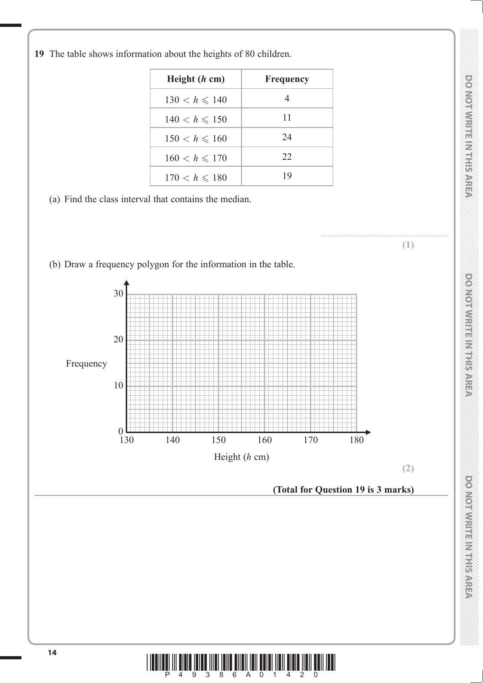DO NOTWRITEINTHER AREA

...........................................................................

**(1)**

*DO NOT WRITE IN THIS AREA DO NOT WRITE IN THIS AREA DO NOT WRITE IN THIS AREA DO NOT WRITE IN THIS AREA DO NOT WRITE IN THIS AREA DO NOT WRITE IN THIS AREA DO NOT WRITE IN THIS AREA DO NOT WRITE IN THIS AREA DO NOT WRITE* **DONOTWRITE INTERSAREA** 



| Height $(h \text{ cm})$ | <b>Frequency</b> |
|-------------------------|------------------|
| $130 < h \le 140$       | 4                |
| $140 < h \le 150$       | 11               |
| $150 < h \le 160$       | 24               |
| $160 < h \le 170$       | 22               |
| $170 < h \le 180$       | 1 Q              |

(a) Find the class interval that contains the median.

(b) Draw a frequency polygon for the information in the table.

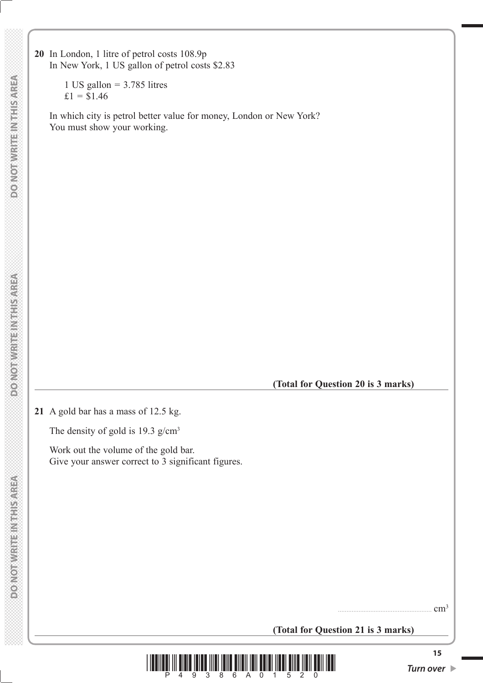**20** In London, 1 litre of petrol costs 108.9p In New York, 1 US gallon of petrol costs \$2.83

> 1 US gallon  $=$  3.785 litres  $£1 = $1.46$

 In which city is petrol better value for money, London or New York? You must show your working.

**MONOTHERN RESIDENCE** 

#### **(Total for Question 20 is 3 marks)**

**21** A gold bar has a mass of 12.5 kg.

The density of gold is 19.3 g/cm<sup>3</sup>

 Work out the volume of the gold bar. Give your answer correct to 3 significant figures.

 $cm<sup>3</sup>$ 

**(Total for Question 21 is 3 marks)**

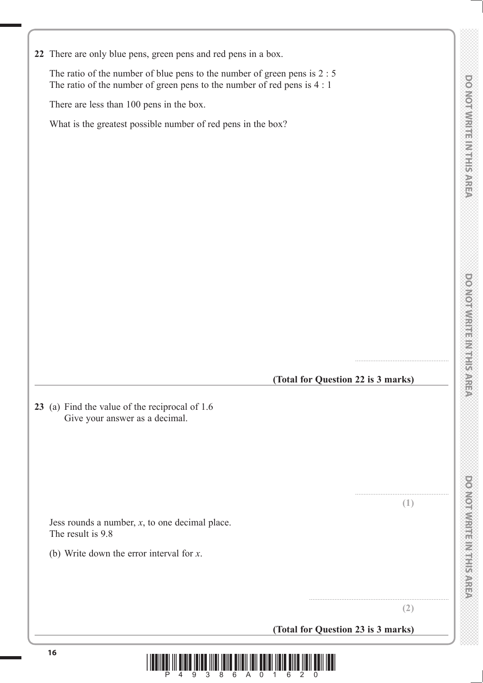**DOMOTWRITER MEETS AREA** 

**22** There are only blue pens, green pens and red pens in a box.

 The ratio of the number of blue pens to the number of green pens is 2 : 5 The ratio of the number of green pens to the number of red pens is 4 : 1

There are less than 100 pens in the box.

What is the greatest possible number of red pens in the box?

#### **(Total for Question 22 is 3 marks)**

**23** (a) Find the value of the reciprocal of 1.6 Give your answer as a decimal.

 Jess rounds a number, *x*, to one decimal place. The result is 9.8

(b) Write down the error interval for *x*.

....................................................... **(1)**

.......................................................

**(2)**

..................................................................................

**(Total for Question 23 is 3 marks)**

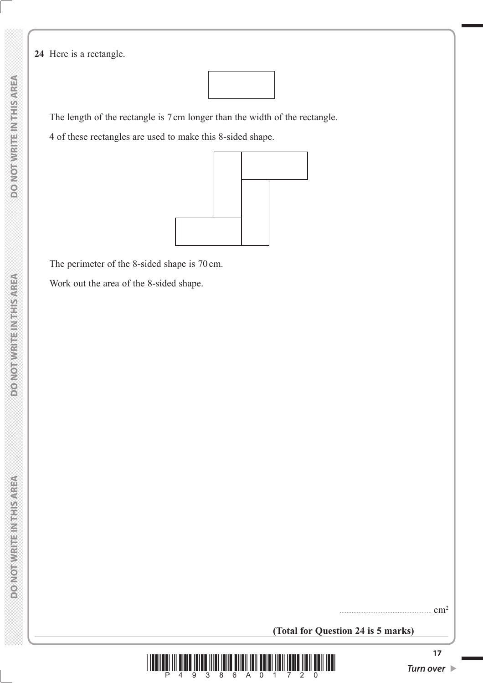**DO NOT WRITE IN THIS AREA DO NOT WRITE A DO NOT WRITE IN THIS AREA DO NOT WRITE A DO NOT WRITE IN THIS AREA**  **24** Here is a rectangle.



The length of the rectangle is 7 cm longer than the width of the rectangle.

4 of these rectangles are used to make this 8-sided shape.



The perimeter of the 8-sided shape is 70 cm.

Work out the area of the 8-sided shape.

 $cm<sup>2</sup>$ 

**(Total for Question 24 is 5 marks)**

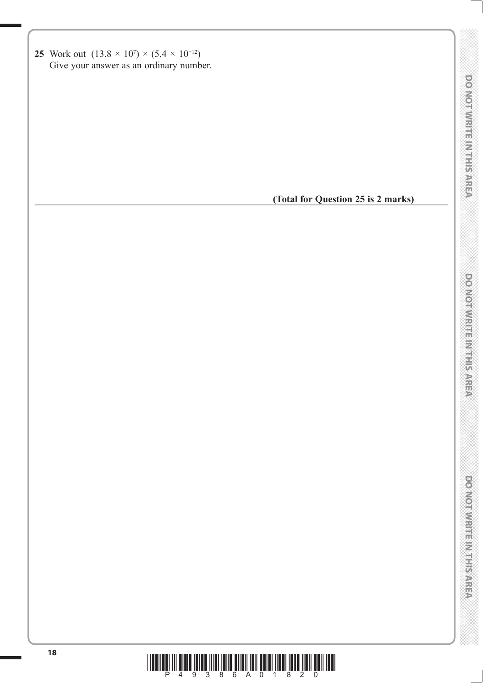| 0<br>0<br>2 |    |   |  |
|-------------|----|---|--|
|             |    |   |  |
|             |    |   |  |
|             |    |   |  |
|             |    |   |  |
|             |    |   |  |
|             |    |   |  |
|             |    |   |  |
|             |    |   |  |
|             |    |   |  |
|             |    |   |  |
|             |    |   |  |
|             |    |   |  |
|             |    |   |  |
|             |    |   |  |
|             |    |   |  |
| ⇔           |    | I |  |
|             |    |   |  |
|             |    |   |  |
| <b>READ</b> |    |   |  |
|             |    |   |  |
|             |    |   |  |
|             |    |   |  |
|             |    |   |  |
|             |    |   |  |
|             |    |   |  |
|             |    |   |  |
|             |    |   |  |
|             |    |   |  |
|             |    |   |  |
|             |    |   |  |
|             |    |   |  |
|             |    |   |  |
|             |    |   |  |
|             |    |   |  |
|             |    |   |  |
|             |    |   |  |
|             |    |   |  |
|             |    |   |  |
|             |    |   |  |
|             |    |   |  |
|             |    |   |  |
| ₩           |    |   |  |
| ₩           |    |   |  |
|             |    |   |  |
|             |    |   |  |
| Ì           |    |   |  |
|             |    |   |  |
|             |    |   |  |
|             |    |   |  |
|             | V) |   |  |
|             |    |   |  |
|             |    |   |  |
|             |    |   |  |
|             |    |   |  |
|             |    |   |  |
|             |    |   |  |
|             |    |   |  |
|             |    |   |  |
|             |    |   |  |
| 大刀贝         |    |   |  |
|             | J. |   |  |
|             |    |   |  |
|             |    |   |  |
|             |    |   |  |



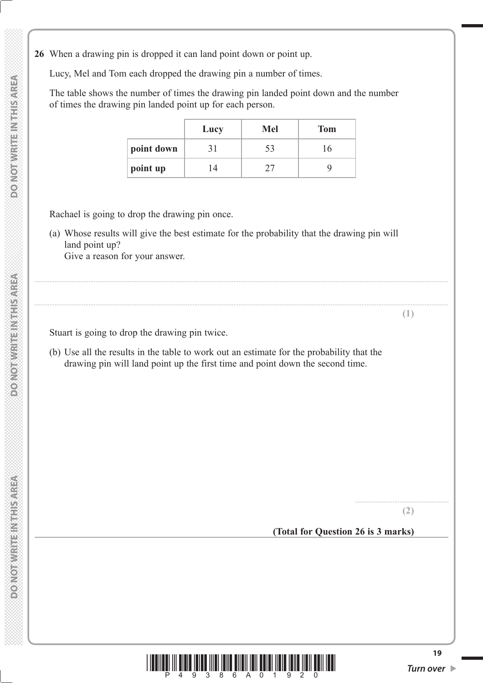**26** When a drawing pin is dropped it can land point down or point up.

Lucy, Mel and Tom each dropped the drawing pin a number of times.

 The table shows the number of times the drawing pin landed point down and the number of times the drawing pin landed point up for each person.

|            | Lucy     | Mel | <b>Tom</b> |
|------------|----------|-----|------------|
| point down | 31       | 53  | h          |
| point up   | $\Delta$ |     |            |

Rachael is going to drop the drawing pin once.

 (a) Whose results will give the best estimate for the probability that the drawing pin will land point up? Give a reason for your answer.

...................................................................................................................................................................................................................................................

...................................................................................................................................................................................................................................................

Stuart is going to drop the drawing pin twice.

 (b) Use all the results in the table to work out an estimate for the probability that the drawing pin will land point up the first time and point down the second time.

> ....................................................... **(2)**

**(1)**

**(Total for Question 26 is 3 marks)**